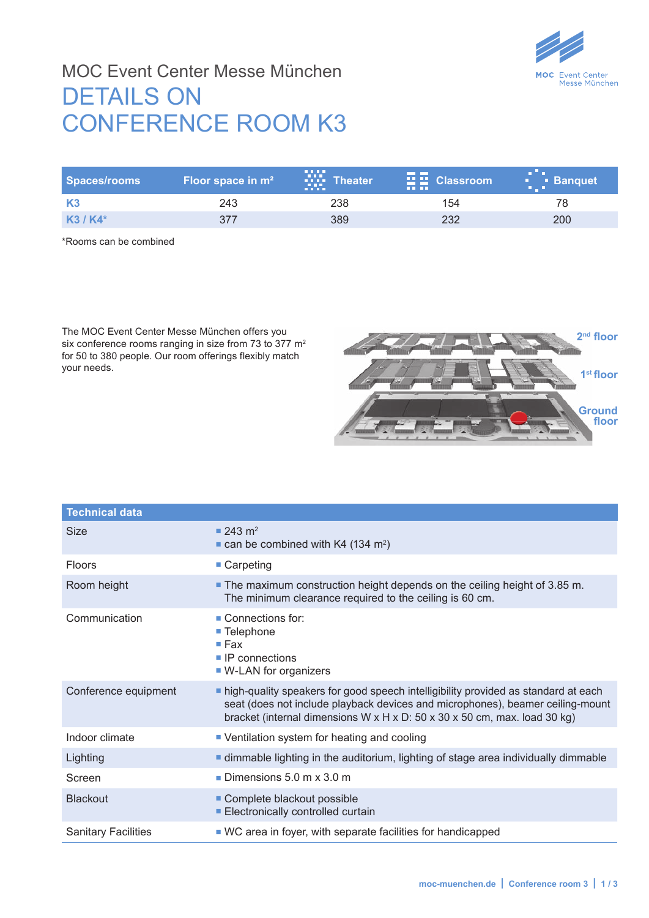

## MOC Event Center Messe München DETAILS ON CONFERENCE ROOM K3

| Spaces/rooms | Floor space in $m2$ | .<br><b>Theater</b><br><b>BREE</b> | <u> a seria de la p</u><br>$\frac{1}{2}$ $\frac{1}{2}$ Classroom<br><b>THE THE</b> | <b>Banquet</b><br><b>BULLER</b> |
|--------------|---------------------|------------------------------------|------------------------------------------------------------------------------------|---------------------------------|
| <b>K3</b>    | 243                 | 238                                | 154                                                                                |                                 |
| $K3/K4*$     | 377                 | 389                                | 232                                                                                | 200                             |

\*Rooms can be combined

The MOC Event Center Messe München offers you six conference rooms ranging in size from 73 to 377 m<sup>2</sup> for 50 to 380 people. Our room offerings flexibly match your needs.



| <b>Technical data</b>      |                                                                                                                                                                                                                                                   |
|----------------------------|---------------------------------------------------------------------------------------------------------------------------------------------------------------------------------------------------------------------------------------------------|
| <b>Size</b>                | $243 \text{ m}^2$<br>$\blacksquare$ can be combined with K4 (134 m <sup>2</sup> )                                                                                                                                                                 |
| <b>Floors</b>              | $\blacksquare$ Carpeting                                                                                                                                                                                                                          |
| Room height                | • The maximum construction height depends on the ceiling height of 3.85 m.<br>The minimum clearance required to the ceiling is 60 cm.                                                                                                             |
| Communication              | $\blacksquare$ Connections for:<br>■ Telephone<br>$\blacksquare$ Fax<br>$\blacksquare$ IP connections<br>• W-LAN for organizers                                                                                                                   |
| Conference equipment       | nigh-quality speakers for good speech intelligibility provided as standard at each<br>seat (does not include playback devices and microphones), beamer ceiling-mount<br>bracket (internal dimensions W x H x D: 50 x 30 x 50 cm, max. load 30 kg) |
| Indoor climate             | • Ventilation system for heating and cooling                                                                                                                                                                                                      |
| Lighting                   | <b>If dimmable lighting in the auditorium, lighting of stage area individually dimmable</b>                                                                                                                                                       |
| Screen                     | <b>Dimensions 5.0 m x 3.0 m</b>                                                                                                                                                                                                                   |
| <b>Blackout</b>            | Complete blackout possible<br>Electronically controlled curtain                                                                                                                                                                                   |
| <b>Sanitary Facilities</b> | ■ WC area in foyer, with separate facilities for handicapped                                                                                                                                                                                      |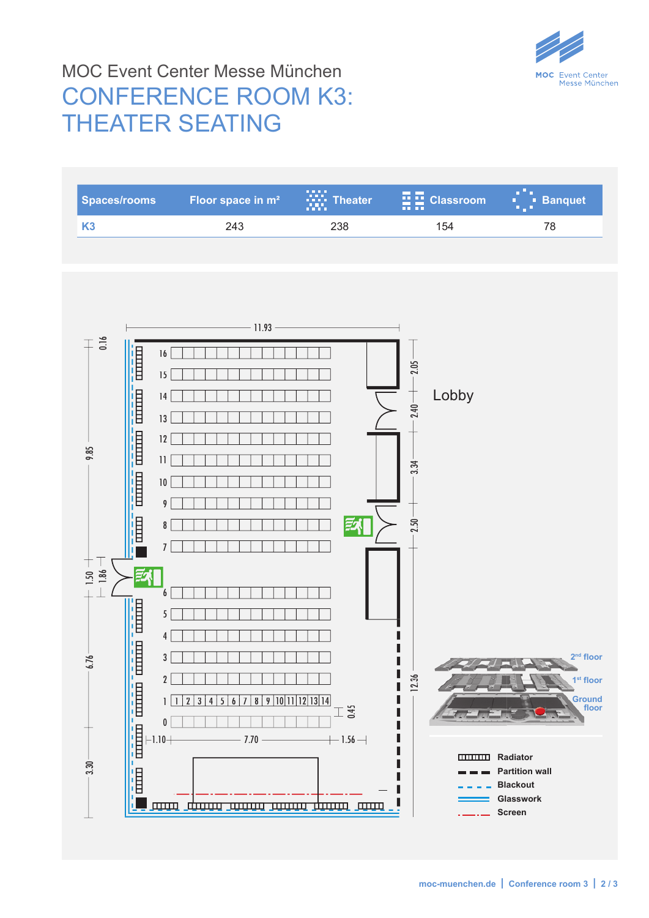

## MOC Event Center Messe München CONFERENCE ROOM K3: THEATER SEATING